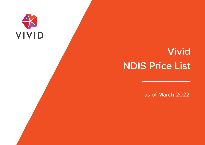# VIVID

# **Vivid NDIS Price List**

as of March 2022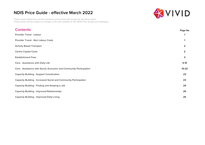These prices listed here are the maximum prices Vivid will charge for the items listed. These prices will be subject to change in line with updates to the NDIS Price Guide and Catalogue.

# WIVID

| <b>Contents</b>                                                         | Page No        |
|-------------------------------------------------------------------------|----------------|
| <b>Provider Travel - Labour</b>                                         |                |
| <b>Provider Travel - Non Labour Costs</b>                               |                |
| <b>Activity Based Transport</b>                                         | $\overline{2}$ |
| <b>Centre Capital Costs</b>                                             | $\overline{2}$ |
| <b>Establishment Fees</b>                                               | 3              |
| <b>Core - Assistance with Daily Life</b>                                | $4-10$         |
| Core - Assistance with Social, Economic and Community Participation     | $10-22$        |
| <b>Capacity Building - Support Coordination</b>                         | 23             |
| <b>Capacity Building - Increased Social and Community Participation</b> | 23             |
| <b>Capacity Building - Finding and Keeping a Job</b>                    | 24             |
| <b>Capacity Building - Improved Relationships</b>                       | 25             |
| <b>Capacity Building - Improved Daily Living</b>                        | 25             |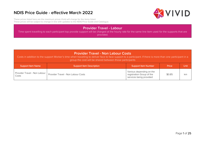

<span id="page-2-0"></span>These prices listed here are the maximum prices Vivid will charge for the items listed. These prices will be subject to change in line with updates to the NDIS Price Guide and Catalogue.

#### **Provider Travel - Labour**

Time spent travelling to each participant top provide support will be charged at the hourly rate for the same line item used for the supports that are provided.

#### **Provider Travel - Non Labour Costs**

Costs in addition to the support Worker's time when travelling to deliver face to face support to a participant. If there is more than one participant in a group the cost will be shared between those participants

| <b>Support Item Name</b> | Support Item Description                                          | <b>Support Item Number</b>                                                       | Price  | Unit |
|--------------------------|-------------------------------------------------------------------|----------------------------------------------------------------------------------|--------|------|
| Costs                    | Provider Travel - Non Labour   Provider Travel - Non Labour Costs | Various depending on the<br>registration Group of the<br>services being provided | \$0.85 | km   |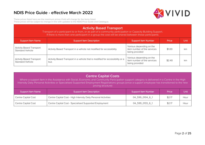

<span id="page-3-0"></span>These prices listed here are the maximum prices Vivid will charge for the items listed. These prices will be subject to change in line with updates to the NDIS Price Guide and Catalogue.

| <b>Activity Based Transport</b><br>Transport of a participant to or from, or as part of a community participation or Capacity Building Support.<br>If there is more than one participant in a group the cost will be shared between those participants |                                                                                      |                                                                           |        |      |
|--------------------------------------------------------------------------------------------------------------------------------------------------------------------------------------------------------------------------------------------------------|--------------------------------------------------------------------------------------|---------------------------------------------------------------------------|--------|------|
| <b>Support Item Name</b>                                                                                                                                                                                                                               | <b>Support Item Description</b>                                                      | <b>Support Item Number</b>                                                | Price  | Unit |
| <b>Activity Based Transport</b><br><b>Standard Vehicle</b>                                                                                                                                                                                             | Activity Based Transport in a vehicle not modified for accessibility                 | Various depending on the<br>item number of the services<br>being provided | \$1.00 | km   |
| <b>Activity Based Transport</b><br><b>Standard Vehicle</b>                                                                                                                                                                                             | Activity Based Transport in a vehicle that is modified for accessibility or a<br>bus | Various depending on the<br>item number of the services<br>being provided | \$2.40 | km   |

#### **Centre Capital Costs**

Where a support item in the Assistance with Social, Economic and Community Participation support category is delivered in a Centre in the High Intensity Daily Personal Activities or Specialised Supported Employment Registrations groups (once a support employee has transitioned to the new pricing structure)

| Support Item Name          | <b>Support Item Description</b>                                | <b>Support Item Number</b> | Price  | Unit |
|----------------------------|----------------------------------------------------------------|----------------------------|--------|------|
| <b>Centre Capital Cost</b> | Centre Capital Cost - High Intensity Daily Personal Activities | 04_599_0104_6_1            | \$2.17 | Hour |
| Centre Capital Cost        | Centre Capital Cost - Specialised Supported Employment         | 04 599 0133 6 1            | \$2.17 | Hour |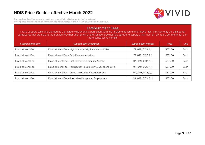

<span id="page-4-0"></span>These prices listed here are the maximum prices Vivid will charge for the items listed. These prices will be subject to change in line with updates to the NDIS Price Guide and Catalogue.

#### **Establishment Fees**

These support items are claimed by a provider who assists a participant with the implementation of their NDIS Plan. This can only be claimed for participants that are new to the Service Provider and for which the service provider has agreed to supply a minimum of 20 hours per month for 3 or more consecutive months

| <b>Support Item Name</b> | <b>Support Item Description</b>                                  | Support Item Number | Price    | <b>Unit</b> |
|--------------------------|------------------------------------------------------------------|---------------------|----------|-------------|
| Establishment Fee        | Establishment Fee - High Intensity Daily Personal Activities     | 01 049 0104 1 1     | \$571.00 | Each        |
| Establishment Fee        | Establishment Fee - Daily Personal Activities                    | 01 049 0107 1 1     | \$571.00 | Each        |
| Establishment Fee        | Establishment Fee - High Intensity Community Access              | 04_049_0104_1_1     | \$571.00 | Each        |
| Establishment Fee        | Establishment Fee - Participation in Community, Social and Civic | 04 049 0125 1 1     | \$571.00 | Each        |
| Establishment Fee        | Establishment Fee - Group and Centre Based Activities            | 04 049 0136 1 1     | \$571.00 | Each        |
| Establishment Fee        | Establishment Fee - Specialised Supported Employment             | 04_049_0133_5_1     | \$571.00 | Each        |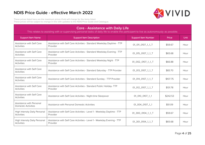

<span id="page-5-0"></span>These prices listed here are the maximum prices Vivid will charge for the items listed. These prices will be subject to change in line with updates to the NDIS Price Guide and Catalogue.

#### **Core - Assistance with Daily Life**

| <b>Support Item Name</b>                               | <b>Support Item Description</b>                                                    | <b>Support Item Number</b> | Price    | <b>Unit</b> |
|--------------------------------------------------------|------------------------------------------------------------------------------------|----------------------------|----------|-------------|
| Assistance with Self Care<br><b>Activities</b>         | Assistance with Self Care Activities - Standard Weekday Daytime - TTP<br>Provider  | 01_011_0107_1_1_T          | \$59.67  | Hour        |
| Assistance with Self Care<br><b>Activities</b>         | Assistance with Self Care Activities - Standard Weekday Evening - TTP<br>Provider  | 01_015_0107_1_1_T          | \$65.68  | Hour        |
| Assistance with Self Care<br><b>Activities</b>         | Assistance with Self Care Activities - Standard Weekday Night - TTP<br>Provider    | 01_002_0107_1_1_T          | \$66.88  | Hour        |
| Assistance with Self Care<br><b>Activities</b>         | Assistance with Self Care Activities - Standard Saturday - TTP Provider            | 01_013_0107_1_1_T          | \$83.70  | Hour        |
| Assistance with Self Care<br><b>Activities</b>         | Assistance with Self Care Activities - Standard Sunday - TTP Provider              | 01_014_0107_1_1_T          | \$107.75 | Hour        |
| Assistance with Self Care<br><b>Activities</b>         | Assistance with Self Care Activities - Standard Public Holiday-TTP<br>Provider     | 01_012_0107_1_1_T          | \$131.78 | Hour        |
| Assistance with Self Care<br><b>Activities</b>         | Assistance with Self Care Activities - Night-time Sleepover                        | 01_010_0107_1_1            | \$242.53 | Hour        |
| Assistance with Personal<br><b>Domestic Activities</b> | Assistance with Personal Domestic Activities                                       | 01_004_0107_1_1            | \$51.09  | Hour        |
| High Intensity Daily Personal<br><b>Activities</b>     | Assistance with Self Care Activities - Level 1 - Weekday Daytime - TTP<br>Provider | 01_300_0104_1_1_T          | \$59.67  | Hour        |
| High Intensity Daily Personal<br><b>Activities</b>     | Assistance with Self Care Activities - Level 1 - Weekday Evening - TTP<br>Provider | 01_301_0104_1_1_T          | \$65.68  | Hour        |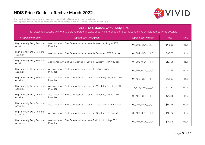

These prices listed here are the maximum prices Vivid will charge for the items listed. These prices will be subject to change in line with updates to the NDIS Price Guide and Catalogue.

#### **Core - Assistance with Daily Life**

| <b>Support Item Name</b>                                  | <b>Support Item Description</b>                                                    | <b>Support Item Number</b> | Price    | Unit |
|-----------------------------------------------------------|------------------------------------------------------------------------------------|----------------------------|----------|------|
| High Intensity Daily Personal<br><b>Activities</b>        | Assistance with Self Care Activities - Level 1 - Weekday Night - TTP<br>Provider   | 01_305_0104_1_1_T          | \$66.88  | Hour |
| High Intensity Daily Personal<br><b>Activities</b>        | Assistance with Self Care Activities - Level 1 - Saturday - TTP Provider           | 01_302_0104_1_1_T          | \$83.70  | Hour |
| <b>High Intensity Daily Personal</b><br><b>Activities</b> | Assistance with Self Care Activities - Level 1 - Sunday - TTP Provider             | 01_303_0104_1_1_T          | \$107.75 | Hour |
| High Intensity Daily Personal<br><b>Activities</b>        | Assistance with Self Care Activities - Level 1 - Public Holiday-TTP<br>Provider    | 01_304_0104_1_1_T          | \$131.78 | Hour |
| High Intensity Daily Personal<br><b>Activities</b>        | Assistance with Self Care Activities - Level 2 - Weekday Daytime - TTP<br>Provider | 01_400_0104_1_1_T          | \$64.36  | Hour |
| <b>High Intensity Daily Personal</b><br><b>Activities</b> | Assistance with Self Care Activities - Level 2 - Weekday Evening - TTP<br>Provider | 01_401_0104_1_1_T          | \$70.84  | Hour |
| High Intensity Daily Personal<br><b>Activities</b>        | Assistance with Self Care Activities - Level 2 - Weekday Night - TTP<br>Provider   | 01_405_0104_1_1_T          | \$72.14  | Hour |
| High Intensity Daily Personal<br><b>Activities</b>        | Assistance with Self Care Activities - Level 2 - Saturday - TTP Provider           | 01_402_0104_1_1_T          | \$90.28  | Hour |
| <b>High Intensity Daily Personal</b><br><b>Activities</b> | Assistance with Self Care Activities - Level 2 - Sunday - TTP Provider             | 01_403_0104_1_1_T          | \$116.22 | Hour |
| High Intensity Daily Personal<br><b>Activities</b>        | Assistance with Self Care Activities - Level 2 - Public Holiday- TTP<br>Provider   | 01_404_0104_1_1_T          | \$142.15 | Hour |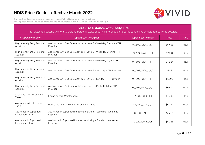

These prices listed here are the maximum prices Vivid will charge for the items listed. These prices will be subject to change in line with updates to the NDIS Price Guide and Catalogue.

#### **Core - Assistance with Daily Life**

| <b>Support Item Name</b>                           | <b>Support Item Description</b>                                                    | <b>Support Item Number</b> | Price    | Unit |
|----------------------------------------------------|------------------------------------------------------------------------------------|----------------------------|----------|------|
| High Intensity Daily Personal<br><b>Activities</b> | Assistance with Self Care Activities - Level 3 - Weekday Daytime - TTP<br>Provider | 01_500_0104_1_1_T          | \$67.66  | Hour |
| High Intensity Daily Personal<br><b>Activities</b> | Assistance with Self Care Activities - Level 3 - Weekday Evening - TTP<br>Provider | 01_501_0104_1_1_T          | \$74.47  | Hour |
| High Intensity Daily Personal<br><b>Activities</b> | Assistance with Self Care Activities - Level 3 - Weekday Night - TTP<br>Provider   | 01_505_0104_1_1_T          | \$75.84  | Hour |
| High Intensity Daily Personal<br><b>Activities</b> | Assistance with Self Care Activities - Level 3 - Saturday - TTP Provider           | 01_502_0104_1_1_T          | \$94.91  | Hour |
| High Intensity Daily Personal<br><b>Activities</b> | Assistance with Self Care Activities - Level 3 - Sunday - TTP Provider             | 01 503 0104 1 1 T          | \$122.18 | Hour |
| High Intensity Daily Personal<br><b>Activities</b> | Assistance with Self Care Activities - Level 3 - Public Holiday-TTP<br>Provider    | 01_504_0104_1_1_T          | \$149.43 | Hour |
| Assistance with Household<br>Tasks                 | House or Yard Maintenance                                                          | 01_019_0120_1_1            | \$49.30  | Hour |
| Assistance with Household<br>Tasks                 | House Cleaning and Other Household Tasks                                           | 01_020_0120_1_1            | \$50.20  | Hour |
| Assistance in Supported<br>Independent Living      | Assistance in Supported Independent Living - Standard - Weekday -<br>Daytime       | 01_801_0115_1_1            | \$57.10  | Hour |
| Assistance in Supported<br>Independent Living      | Assistance in Supported Independent Living - Standard - Weekday -<br>Evening       | 01 802 0115 1 1            | \$62.85  | Hour |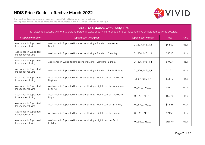

These prices listed here are the maximum prices Vivid will charge for the items listed. These prices will be subject to change in line with updates to the NDIS Price Guide and Catalogue.

#### **Core - Assistance with Daily Life**

| <b>Support Item Name</b>                      | <b>Support Item Description</b>                                                    | <b>Support Item Number</b> | Price    | <b>Unit</b> |
|-----------------------------------------------|------------------------------------------------------------------------------------|----------------------------|----------|-------------|
| Assistance in Supported<br>Independent Living | Assistance in Supported Independent Living - Standard - Weekday -<br>Night         | 01_803_0115_1_1            | \$64.00  | Hour        |
| Assistance in Supported<br>Independent Living | Assistance in Supported Independent Living - Standard - Saturday                   | 01_804_0115_1_1            | \$80.10  | Hour        |
| Assistance in Supported<br>Independent Living | Assistance in Supported Independent Living - Standard - Sunday                     | 01_805_0115_1_1            | \$103.11 | Hour        |
| Assistance in Supported<br>Independent Living | Assistance in Supported Independent Living - Standard - Public Holiday             | 01_806_0115_1_1            | \$126.11 | Hour        |
| Assistance in Supported<br>Independent Living | Assistance in Supported Independent Living - High Intensity - Weekday -<br>Daytime | 01_811_0115_1_1            | \$61.79  | Hour        |
| Assistance in Supported<br>Independent Living | Assistance in Supported Independent Living - High Intensity - Weekday -<br>Evening | 01 812 0115 1 1            | \$68.01  | Hour        |
| Assistance in Supported<br>Independent Living | Assistance in Supported Independent Living - High Intensity - Weekday -<br>Night   | 01_813_0115_1_1            | \$69.26  | Hour        |
| Assistance in Supported<br>Independent Living | Assistance in Supported Independent Living - High Intensity - Saturday             | 01_814_0115_1_1            | \$86.68  | Hour        |
| Assistance in Supported<br>Independent Living | Assistance in Supported Independent Living - High Intensity - Sunday               | 01_815_0115_1_1            | \$111.58 | Hour        |
| Assistance in Supported<br>Independent Living | Assistance in Supported Independent Living - High Intensity - Public<br>Holiday    | 01_816_0115_1_1            | \$136.48 | Hour        |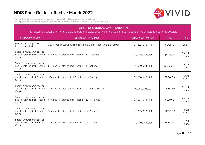

These prices listed here are the maximum prices Vivid will charge for the items listed. These prices will be subject to change in line with updates to the NDIS Price Guide and Catalogue.

#### **Core - Assistance with Daily Life**

| <b>Support Item Name</b>                                           | <b>Support Item Description</b>                                   | <b>Support Item Number</b> | Price      | <b>Unit</b>            |
|--------------------------------------------------------------------|-------------------------------------------------------------------|----------------------------|------------|------------------------|
| Assistance in Supported<br>Independent Living                      | Assistance in Supported Independent Living - Night-time Sleepover | 01_832_0115_1_1            | \$242.53   | Each                   |
| Short Term Accommodation<br>and Assistance (incl. Respite<br>Care) | STA and Assistance (incl. Respite) - 1:1 - Weekday                | 01_058_0115_1_1            | \$1,775.89 | <b>Per 24</b><br>Hours |
| Short Term Accommodation<br>and Assistance (incl. Respite<br>Care) | STA and Assistance (incl. Respite) - 1:1 - Saturday               | 01_059_0115_1_1            | \$2,263.73 | <b>Per 24</b><br>Hours |
| Short Term Accommodation<br>and Assistance (incl. Respite<br>Care) | STA and Assistance (incl. Respite) - 1:1 - Sunday                 | 01_060_0115_1_1            | \$2,861.33 | Per 24<br>Hours        |
| Short Term Accommodation<br>and Assistance (incl. Respite<br>Care) | STA and Assistance (incl. Respite) - 1:1 - Public Holiday         | 01_061_0115_1_1            | \$3,458.93 | <b>Per 24</b><br>Hours |
| Short Term Accommodation<br>and Assistance (incl. Respite<br>Care) | STA and Assistance (incl. Respite) - 1:2 - Weekday                | 01_054_0115_1_1            | \$979.65   | <b>Per 24</b><br>Hours |
| Short Term Accommodation<br>and Assistance (incl. Respite<br>Care) | STA and Assistance (incl. Respite) - 1:2 - Saturday               | 01_055_0115_1_1            | \$1,223.57 | Per 24<br>Hours        |
| Short Term Accommodation<br>and Assistance (incl. Respite<br>Care) | STA and Assistance (incl. Respite) - 1:2 - Sunday                 | 01_056_0115_1_1            | \$1,522.37 | Per 24<br>Hours        |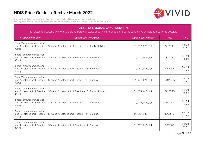

These prices listed here are the maximum prices Vivid will charge for the items listed. These prices will be subject to change in line with updates to the NDIS Price Guide and Catalogue.

#### **Core - Assistance with Daily Life**

| <b>Support Item Name</b>                                           | <b>Support Item Description</b>                           | <b>Support Item Number</b> | Price      | Unit                   |
|--------------------------------------------------------------------|-----------------------------------------------------------|----------------------------|------------|------------------------|
| Short Term Accommodation<br>and Assistance (incl. Respite<br>Care) | STA and Assistance (incl. Respite) - 1:2 - Public Holiday | 01_057_0115_1_1            | \$1,821.17 | Per 24<br><b>Hours</b> |
| Short Term Accommodation<br>and Assistance (incl. Respite<br>Care) | STA and Assistance (incl. Respite) - 1:3 - Weekday        | 01_062_0115_1_1            | \$714.24   | Per 24<br>Hours        |
| Short Term Accommodation<br>and Assistance (incl. Respite<br>Care) | STA and Assistance (incl. Respite) - 1:3 - Saturday       | 01_063_0115_1_1            | \$876.85   | Per 24<br>Hours        |
| Short Term Accommodation<br>and Assistance (incl. Respite<br>Care) | STA and Assistance (incl. Respite) - 1:3 - Sunday         | 01_064_0115_1_1            | \$1,076.05 | Per 24<br>Hours        |
| Short Term Accommodation<br>and Assistance (incl. Respite<br>Care) | STA and Assistance (incl. Respite) - 1:3 - Public Holiday | 01_065_0115_1_1            | \$1,275.25 | <b>Per 24</b><br>Hours |
| Short Term Accommodation<br>and Assistance (incl. Respite<br>Care) | STA and Assistance (incl. Respite) - 1:4 - Weekday        | 01_045_0115_1_1            | \$581.53   | Per 24<br>Hours        |
| Short Term Accommodation<br>and Assistance (incl. Respite<br>Care) | STA and Assistance (incl. Respite) - 1:4 - Saturday       | 01_051_0115_1_1            | \$703.49   | Per 24<br>Hours        |
| Short Term Accommodation<br>and Assistance (incl. Respite<br>Care) | STA and Assistance (incl. Respite) - 1:4 - Sunday         | 01_052_0115_1_1            | \$852.89   | Per 24<br>Hours        |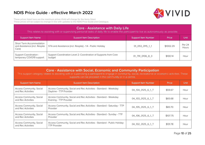

<span id="page-11-0"></span>These prices listed here are the maximum prices Vivid will charge for the items listed. These prices will be subject to change in line with updates to the NDIS Price Guide and Catalogue.

#### **Core - Assistance with Daily Life**

| <b>Support Item Name</b>                                           | <b>Support Item Description</b>                                            | <b>Support Item Number</b> | Price     | Unit            |
|--------------------------------------------------------------------|----------------------------------------------------------------------------|----------------------------|-----------|-----------------|
| Short Term Accommodation<br>and Assistance (incl. Respite<br>Care) | STA and Assistance (incl. Respite) - 1:4 - Public Holiday                  | 01_053_0115_1_1            | \$1002.29 | Per 24<br>Hours |
| Support Coordination -<br>temporary COVD19 support                 | Support Coordination Level 2: Coordination of Supports from Core<br>budget | 01_791_0106_8_3            | \$100.14  | Hour            |

| <b>Core - Assistance with Social, Economic and Community Participation</b><br>This support category relates to assisting with or supervising a participant to engage in community, social, recreational or economic activities. These<br>supports can be proceed in the community or in a centre. |                                                                                                 |                            |          |             |
|---------------------------------------------------------------------------------------------------------------------------------------------------------------------------------------------------------------------------------------------------------------------------------------------------|-------------------------------------------------------------------------------------------------|----------------------------|----------|-------------|
| <b>Support Item Name</b>                                                                                                                                                                                                                                                                          | <b>Support Item Description</b>                                                                 | <b>Support Item Number</b> | Price    | <b>Unit</b> |
| <b>Access Community, Social</b><br>and Rec Activities                                                                                                                                                                                                                                             | Access Community, Social and Rec Activities - Standard - Weekday<br>Daytime - TTP Provider      | 04 104 0125 6 1 T          | \$59.67  | Hour        |
| Access Community, Social<br>and Rec Activities                                                                                                                                                                                                                                                    | Access Community, Social and Rec Activities - Standard - Weekday<br>Evening - TTP Provider      | 04_103_0125_6_1_T          | \$65.68  | Hour        |
| <b>Access Community, Social</b><br>and Rec Activities                                                                                                                                                                                                                                             | Access Community, Social and Rec Activities - Standard - Saturday - TTP<br>Provider             | 04_105_0125_6_1_T          | \$83.70  | Hour        |
| <b>Access Community, Social</b><br>and Rec Activities                                                                                                                                                                                                                                             | Access Community, Social and Rec Activities - Standard - Sunday - TTP<br>Provider               | 04_106_0125_6_1_T          | \$107.75 | Hour        |
| <b>Access Community, Social</b><br>and Rec Activities                                                                                                                                                                                                                                             | Access Community, Social and Rec Activities - Standard - Public Holiday-<br><b>TTP Provider</b> | 04_102_0125_6_1_T          | \$131.78 | Hour        |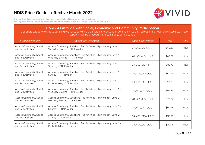

These prices listed here are the maximum prices Vivid will charge for the items listed. These prices will be subject to change in line with updates to the NDIS Price Guide and Catalogue.

#### **Core - Assistance with Social, Economic and Community Participation**

| <b>Support Item Name</b>                              | <b>Support Item Description</b>                                                                          | <b>Support Item Number</b> | Price    | Unit |
|-------------------------------------------------------|----------------------------------------------------------------------------------------------------------|----------------------------|----------|------|
| <b>Access Community, Social</b><br>and Rec Activities | Access Community, Social and Rec Activities - High Intensity Level 1 -<br>Weekday Daytime - TTP Provider | 04_300_0104_1_1_T          | \$59.67  | Hour |
| Access Community, Social<br>and Rec Activities        | Access Community, Social and Rec Activities - High Intensity Level 1 -<br>Weekday Evening - TTP Provider | 04_301_0104_1_1_T          | \$65.68  | Hour |
| <b>Access Community, Social</b><br>and Rec Activities | Access Community, Social and Rec Activities - High Intensity Level 1 -<br>Saturday - TTP Provider        | 04_302_0104_1_1_T          | \$83.70  | Hour |
| <b>Access Community, Social</b><br>and Rec Activities | Access Community, Social and Rec Activities - High Intensity Level 1 -<br>Sunday - TTP Provider          | 04_303_0104_1_1_T          | \$107.75 | Hour |
| <b>Access Community, Social</b><br>and Rec Activities | Access Community, Social and Rec Activities - High Intensity Level 1 -<br>Public Holiday - TTP Provider  | 04_304_0104_1_1_T          | \$131.78 | Hour |
| <b>Access Community, Social</b><br>and Rec Activities | Access Community, Social and Rec Activities - High Intensity Level 2 -<br>Weekday Daytime - TTP Provider | 04_400_0104_1_1_T          | \$64.36  | Hour |
| Access Community, Social<br>and Rec Activities        | Access Community, Social and Rec Activities - High Intensity Level 2 -<br>Weekday Evening - TTP Provider | 04_401_0104_1_1_T          | \$70.84  | Hour |
| <b>Access Community, Social</b><br>and Rec Activities | Access Community, Social and Rec Activities - High Intensity Level 2 -<br>Saturday - TTP Provider        | 04_402_0104_1_1_T          | \$90.28  | Hour |
| <b>Access Community, Social</b><br>and Rec Activities | Access Community, Social and Rec Activities - High Intensity Level 2 -<br>Sunday - TTP Provider          | 04_403_0104_1_1_T          | \$116.22 | Hour |
| Access Community, Social<br>and Rec Activities        | Access Community, Social and Rec Activities - High Intensity Level 2 -<br>Public Holiday - TTP Provider  | 04_404_0104_1_1_T          | \$142.15 | Hour |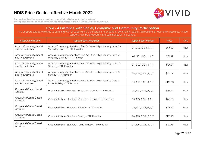

These prices listed here are the maximum prices Vivid will charge for the items listed. These prices will be subject to change in line with updates to the NDIS Price Guide and Catalogue.

#### **Core - Assistance with Social, Economic and Community Participation**

| <b>Support Item Name</b>                              | <b>Support Item Description</b>                                                                          | <b>Support Item Number</b> | Price    | Unit |
|-------------------------------------------------------|----------------------------------------------------------------------------------------------------------|----------------------------|----------|------|
| Access Community, Social<br>and Rec Activities        | Access Community, Social and Rec Activities - High Intensity Level 3 -<br>Weekday Daytime - TTP Provider | 04 500 0104 1 1 T          | \$67.66  | Hour |
| Access Community, Social<br>and Rec Activities        | Access Community, Social and Rec Activities - High Intensity Level 3 -<br>Weekday Evening - TTP Provider | 04_501_0104_1_1_T          | \$74.47  | Hour |
| Access Community, Social<br>and Rec Activities        | Access Community, Social and Rec Activities - High Intensity Level 3 -<br>Saturday - TTP Provider        | 04_502_0104_1_1_T          | \$94.91  | Hour |
| Access Community, Social<br>and Rec Activities        | Access Community, Social and Rec Activities - High Intensity Level 3 -<br>Sunday - TTP Provider          | 04_503_0104_1_1_T          | \$122.18 | Hour |
| <b>Access Community, Social</b><br>and Rec Activities | Access Community, Social and Rec Activities - High Intensity Level 3 -<br>Public Holiday - TTP Provider  | 04_504_0104_1_1_T          | \$149.43 | Hour |
| Group And Centre Based<br><b>Activities</b>           | Group Activities - Standard- Weekday - Daytime - TTP Provider                                            | 04_102_0136_6_1_T          | \$59.67  | Hour |
| Group And Centre Based<br><b>Activities</b>           | Group Activities - Standard- Weekday - Evening - TTP Provider                                            | 04_103_0136_6_1_T          | \$65.68  | Hour |
| Group And Centre Based<br><b>Activities</b>           | Group Activities - Standard- Saturday - TTP Provider                                                     | 04_104_0136_6_1_T          | \$83.70  | Hour |
| Group And Centre Based<br><b>Activities</b>           | Group Activities - Standard- Sunday - TTP Provider                                                       | 04_105_0136_6_1_T          | \$107.75 | Hour |
| Group And Centre Based<br><b>Activities</b>           | Group Activities - Standard- Public Holiday - TTP Provider                                               | 04_106_0136_6_1_T          | \$131.78 | Hour |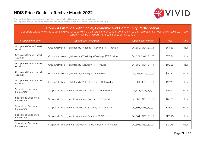

These prices listed here are the maximum prices Vivid will charge for the items listed. These prices will be subject to change in line with updates to the NDIS Price Guide and Catalogue.

#### **Core - Assistance with Social, Economic and Community Participation**

| <b>Support Item Name</b>                    | <b>Support Item Description</b>                                     | <b>Support Item Number</b> | Price    | Unit |
|---------------------------------------------|---------------------------------------------------------------------|----------------------------|----------|------|
| Group And Centre Based<br><b>Activities</b> | Group Activities - High Intensity- Weekday - Daytime - TTP Provider | 04_600_0104_6_1_T          | \$64.36  | Hour |
| Group And Centre Based<br><b>Activities</b> | Group Activities - High Intensity- Weekday - Evening - TTP Provider | 04_601_0104_6_1_T          | \$70.84  | Hour |
| Group And Centre Based<br><b>Activities</b> | Group Activities - High Intensity- Saturday - TTP Provider          | 04_602_0104_6_1_T          | \$90.28  | Hour |
| Group And Centre Based<br><b>Activities</b> | Group Activities - High Intensity- Sunday - TTP Provider            | 04_603_0104_6_1_T          | \$116.22 | Hour |
| Group And Centre Based<br><b>Activities</b> | Group Activities - High Intensity- Public Holiday - TTP Provider    | 04_604_0104_6_1_T          | \$142.15 | Hour |
| <b>Specialised Supported</b><br>Employment  | Supports in Employment - Weekday - Daytime - TTP Provider           | 04_801_0133_5_1_T          | \$59.67  | Hour |
| <b>Specialised Supported</b><br>Employment  | Supports in Employment - Weekday - Evening - TTP Provider           | 04_802_0133_5_1_T          | \$65.68  | Hour |
| <b>Specialised Supported</b><br>Employment  | Supports in Employment - Weekday - Saturday - TTP Provider          | 04_803_0133_5_1_T          | \$83.70  | Hour |
| <b>Specialised Supported</b><br>Employment  | Supports in Employment - Weekday - Sunday - TTP Provider            | 04_804_0133_5_1_T          | \$107.75 | Hour |
| Specialised Supported<br>Employment         | Supports in Employment - Weekday - Public Holiday - TTP Provider    | 04_805_0133_5_1_T          | \$131.78 | Hour |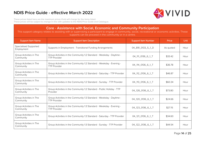

These prices listed here are the maximum prices Vivid will charge for the items listed. These prices will be subject to change in line with updates to the NDIS Price Guide and Catalogue.

#### **Core - Assistance with Social, Economic and Community Participation**

| <b>Support Item Name</b>                   | <b>Support Item Description</b>                                                             | <b>Support Item Number</b> | Price     | <b>Unit</b> |
|--------------------------------------------|---------------------------------------------------------------------------------------------|----------------------------|-----------|-------------|
| <b>Specialised Supported</b><br>Employment | Supports in Employment - Transitional Funding Arrangements                                  | 04_891_0133_5_1_D          | As quoted | Hour        |
| Group Activities in The<br>Community       | Group Activities in the Community 1:2 Standard - Weekday - Daytime -<br><b>TTP Provider</b> | 04 111 0136 6 1 T          | \$33.42   | Hour        |
| Group Activities in The<br>Community       | Group Activities in the Community 1:2 Standard - Weekday - Evening -<br><b>TTP Provider</b> | 04 114 0136 6 1 T          | \$36.78   | Hour        |
| Group Activities in The<br>Community       | Group Activities in the Community 1:2 Standard - Saturday - TTP Provider                    | 04_112_0136_6_1_T          | \$46.87   | Hour        |
| Group Activities in The<br>Community       | Group Activities in the Community 1:2 Standard - Sunday - TTP Provider                      | 04 113 0136 6 1 T          | \$60.34   | Hour        |
| Group Activities in The<br>Community       | Group Activities in the Community 1:2 Standard - Public Holiday - TTP<br>Provider           | 04_128_0136_6_1_T          | \$73.80   | Hour        |
| Group Activities in The<br>Community       | Group Activities in the Community 1:3 Standard - Weekday - Daytime -<br><b>TTP Provider</b> | 04_120_0136_6_1_T          | \$24.66   | Hour        |
| Group Activities in The<br>Community       | Group Activities in the Community 1:3 Standard - Weekday - Evening -<br><b>TTP Provider</b> | 04_123_0136_6_1_T          | \$27.15   | Hour        |
| Group Activities in The<br>Community       | Group Activities in the Community 1:3 Standard - Saturday - TTP Provider                    | 04_121_0136_6_1_T          | \$34.60   | Hour        |
| Group Activities in The<br>Community       | Group Activities in the Community 1:3 Standard - Sunday - TTP Provider                      | 04_122_0136_6_1_T          | \$44.54   | Hour        |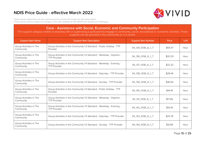

These prices listed here are the maximum prices Vivid will charge for the items listed. These prices will be subject to change in line with updates to the NDIS Price Guide and Catalogue.

#### **Core - Assistance with Social, Economic and Community Participation**

| <b>Support Item Name</b>             | <b>Support Item Description</b>                                                             | <b>Support Item Number</b> | Price   | Unit |
|--------------------------------------|---------------------------------------------------------------------------------------------|----------------------------|---------|------|
| Group Activities in The<br>Community | Group Activities in the Community 1:3 Standard - Public Holiday - TTP<br>Provider           | 04 129 0136 6 1 T          | \$54.47 | Hour |
| Group Activities in The<br>Community | Group Activities in the Community 1:4 Standard - Weekday - Daytime -<br><b>TTP Provider</b> | 04_136_0136_6_1_T          | \$20.29 | Hour |
| Group Activities in The<br>Community | Group Activities in the Community 1:4 Standard - Weekday - Evening -<br><b>TTP Provider</b> | 04_137_0136_6_1_T          | \$22.33 | Hour |
| Group Activities in The<br>Community | Group Activities in the Community 1:4 Standard - Saturday - TTP Provider                    | 04_138_0136_6_1_T          | \$28.46 | Hour |
| Group Activities in The<br>Community | Group Activities in the Community 1:4 Standard - Sunday - TTP Provider                      | 04 139 0136 6 1 T          | \$36.64 | Hour |
| Group Activities in The<br>Community | Group Activities in the Community 1:4 Standard - Public Holiday - TTP<br>Provider           | 04 140 0136 6 1 T          | \$44.81 | Hour |
| Group Activities in The<br>Community | Group Activities in the Community 1:5 Standard - Weekday - Daytime -<br><b>TTP Provider</b> | 04_141_0136_6_1_T          | \$17.66 | Hour |
| Group Activities in The<br>Community | Group Activities in the Community 1:5 Standard - Weekday - Evening -<br><b>TTP Provider</b> | 04_142_0136_6_1_T          | \$19.44 | Hour |
| Group Activities in The<br>Community | Group Activities in the Community 1:5 Standard - Saturday - TTP Provider                    | 04_143_0136_6_1_T          | \$24.78 | Hour |
| Group Activities in The<br>Community | Group Activities in the Community 1:5 Standard - Sunday - TTP Provider                      | 04_144_0136_6_1_T          | \$31.89 | Hour |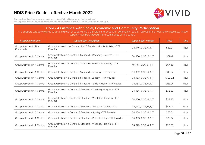

These prices listed here are the maximum prices Vivid will charge for the items listed. These prices will be subject to change in line with updates to the NDIS Price Guide and Catalogue.

#### **Core - Assistance with Social, Economic and Community Participation**

| <b>Support Item Name</b>             | <b>Support Item Description</b>                                                   | <b>Support Item Number</b> | Price    | <b>Unit</b> |
|--------------------------------------|-----------------------------------------------------------------------------------|----------------------------|----------|-------------|
| Group Activities in The<br>Community | Group Activities in the Community 1:5 Standard - Public Holiday - TTP<br>Provider | 04_145_0136_6_1_T          | \$39.01  | Hour        |
| Group Activities in A Centre         | Group Activities in a Centre 1:1 Standard - Weekday - Daytime - TTP<br>Provider   | 04_160_0136_6_1_T          | \$61.84  | Hour        |
| Group Activities in A Centre         | Group Activities in a Centre 1:1 Standard - Weekday - Evening - TTP<br>Provider   | 04_161_0136_6_1_T          | \$67.85  | Hour        |
| Group Activities in A Centre         | Group Activities in a Centre 1:1 Standard - Saturday - TTP Provider               | 04_162_0136_6_1_T          | \$85.87  | Hour        |
| Group Activities in A Centre         | Group Activities in a Centre 1:1 Standard - Sunday - TTP Provider                 | 04_163_0136_6_1_T          | \$109.92 | Hour        |
| Group Activities in A Centre         | Group Activities in a Centre 1:1 Standard - Public Holiday - TTP Provider         | 04_164_0136_6_1_T          | \$133.95 | Hour        |
| Group Activities in A Centre         | Group Activities in a Centre 1:2 Standard - Weekday - Daytime - TTP<br>Provider   | 04 165 0136 6 1 T          | \$35.59  | Hour        |
| Group Activities in A Centre         | Group Activities in a Centre 1:2 Standard - Weekday - Evening - TTP<br>Provider   | 04_166_0136_6_1_T          | \$38.95  | Hour        |
| Group Activities in A Centre         | Group Activities in a Centre 1:2 Standard - Saturday - TTP Provider               | 04_167_0136_6_1_T          | \$49.04  | Hour        |
| Group Activities in A Centre         | Group Activities in a Centre 1:2 Standard - Sunday - TTP Provider                 | 04_168_0136_6_1_T          | \$62.51  | Hour        |
| Group Activities in A Centre         | Group Activities in a Centre 1:2 Standard - Public Holiday - TTP Provider         | 04_169_0136_6_1_T          | \$75.97  | Hour        |
| Group Activities in A Centre         | Group Activities in a Centre 1:3 Standard - Weekday - Daytime - TTP<br>Provider   | 04_170_0136_6_1_T          | \$26.83  | Hour        |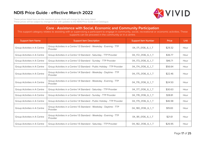

These prices listed here are the maximum prices Vivid will charge for the items listed. These prices will be subject to change in line with updates to the NDIS Price Guide and Catalogue.

#### **Core - Assistance with Social, Economic and Community Participation**

| <b>Support Item Name</b>     | <b>Support Item Description</b>                                                 | <b>Support Item Number</b> | Price   | <b>Unit</b> |
|------------------------------|---------------------------------------------------------------------------------|----------------------------|---------|-------------|
| Group Activities in A Centre | Group Activities in a Centre 1:3 Standard - Weekday - Evening - TTP<br>Provider | 04_171_0136_6_1_T          | \$29.32 | Hour        |
| Group Activities in A Centre | Group Activities in a Centre 1:3 Standard - Saturday - TTP Provider             | 04_172_0136_6_1_T          | \$36.77 | Hour        |
| Group Activities in A Centre | Group Activities in a Centre 1:3 Standard - Sunday - TTP Provider               | 04 173 0136 6 1 T          | \$46.71 | Hour        |
| Group Activities in A Centre | Group Activities in a Centre 1:3 Standard - Public Holiday - TTP Provider       | 04_174_0136_6_1_T          | \$56.64 | Hour        |
| Group Activities in A Centre | Group Activities in a Centre 1:4 Standard - Weekday - Daytime - TTP<br>Provider | 04_175_0136_6_1_T          | \$22.46 | Hour        |
| Group Activities in A Centre | Group Activities in a Centre 1:4 Standard - Weekday - Evening - TTP<br>Provider | 04_176_0136_6_1_T          | \$24.50 | Hour        |
| Group Activities in A Centre | Group Activities in a Centre 1:4 Standard - Saturday - TTP Provider             | 04_177_0136_6_1_T          | \$30.63 | Hour        |
| Group Activities in A Centre | Group Activities in a Centre 1:4 Standard - Sunday - TTP Provider               | 04_178_0136_6_1_T          | \$38.81 | Hour        |
| Group Activities in A Centre | Group Activities in a Centre 1:4 Standard - Public Holiday - TTP Provider       | 04 179 0136 6 1 T          | \$46.98 | Hour        |
| Group Activities in A Centre | Group Activities in a Centre 1:5 Standard - Weekday - Daytime - TTP<br>Provider | 04_180_0136_6_1_T          | \$19.83 | Hour        |
| Group Activities in A Centre | Group Activities in a Centre 1:5 Standard - Weekday - Evening - TTP<br>Provider | 04_181_0136_6_1_T          | \$21.61 | Hour        |
| Group Activities in A Centre | Group Activities in a Centre 1:5 Standard - Saturday - TTP Provider             | 04_182_0136_6_1_T          | \$26.95 | Hour        |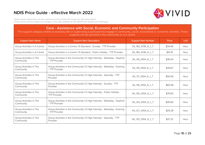

These prices listed here are the maximum prices Vivid will charge for the items listed. These prices will be subject to change in line with updates to the NDIS Price Guide and Catalogue.

#### **Core - Assistance with Social, Economic and Community Participation**

| <b>Support Item Name</b>             | <b>Support Item Description</b>                                                                | <b>Support Item Number</b> | Price   | <b>Unit</b> |
|--------------------------------------|------------------------------------------------------------------------------------------------|----------------------------|---------|-------------|
| Group Activities in A Centre         | Group Activities in a Centre 1:5 Standard - Sunday - TTP Provider                              | 04_183_0136_6_1_T          | \$34.06 | Hour        |
| Group Activities in A Centre         | Group Activities in a Centre 1:5 Standard - Public Holiday - TTP Provider                      | 04_184_0136_6_1_T          | \$41.18 | Hour        |
| Group Activities in The<br>Community | Group Activities in the Community 1:2 High Intensity - Weekday - Daytime<br>- TTP Provider     | 04_116_0104_6_1_T          | \$36.04 | Hour        |
| Group Activities in The<br>Community | Group Activities in the Community 1:2 High Intensity - Weekday - Evening<br>- TTP Provider     | 04_119_0104_6_1_T          | \$39.67 | Hour        |
| Group Activities in The<br>Community | Group Activities in the Community 1:2 High Intensity - Saturday - TTP<br>Provider              | 04_117_0104_6_1_T          | \$50.56 | Hour        |
| Group Activities in The<br>Community | Group Activities in the Community 1:2 High Intensity - Sunday - TTP<br>Provider                | 04 118 0104 6 1 T          | \$65.08 | Hour        |
| Group Activities in The<br>Community | Group Activities in the Community 1:2 High Intensity - Public Holiday -<br><b>TTP Provider</b> | 04 130 0104 6 1 T          | \$79.60 | Hour        |
| Group Activities in The<br>Community | Group Activities in the Community 1:3 High Intensity - Weekday - Daytime<br>- TTP Provider     | 04_124_0104_6_1_T          | \$26.60 | Hour        |
| Group Activities in The<br>Community | Group Activities in the Community 1:3 High Intensity - Weekday - Evening<br>- TTP Provider     | 04_127_0104_6_1_T          | \$29.28 | Hour        |
| Group Activities in The<br>Community | Group Activities in the Community 1:3 High Intensity - Saturday - TTP<br>Provider              | 04_125_0104_6_1_T          | \$37.32 | Hour        |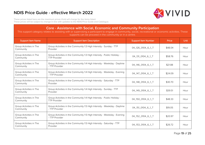

These prices listed here are the maximum prices Vivid will charge for the items listed. These prices will be subject to change in line with updates to the NDIS Price Guide and Catalogue.

#### **Core - Assistance with Social, Economic and Community Participation**

| <b>Support Item Name</b>             | <b>Support Item Description</b>                                                                | <b>Support Item Number</b> | Price   | Unit |
|--------------------------------------|------------------------------------------------------------------------------------------------|----------------------------|---------|------|
| Group Activities in The<br>Community | Group Activities in the Community 1:3 High Intensity - Sunday - TTP<br>Provider                | 04 126 0104 6 1 T          | \$48.04 | Hour |
| Group Activities in The<br>Community | Group Activities in the Community 1:3 High Intensity - Public Holiday -<br><b>TTP Provider</b> | 04_131_0104_6_1_T          | \$58.76 | Hour |
| Group Activities in The<br>Community | Group Activities in the Community 1:4 High Intensity - Weekday - Daytime<br>- TTP Provider     | 04_146_0104_6_1_T          | \$21.88 | Hour |
| Group Activities in The<br>Community | Group Activities in the Community 1:4 High Intensity - Weekday - Evening<br>- TTP Provider     | 04_147_0104_6_1_T          | \$24.09 | Hour |
| Group Activities in The<br>Community | Group Activities in the Community 1:4 High Intensity - Saturday - TTP<br>Provider              | 04_148_0104_6_1_T          | \$30.70 | Hour |
| Group Activities in The<br>Community | Group Activities in the Community 1:4 High Intensity - Sunday - TTP<br>Provider                | 04_149_0104_6_1_T          | \$39.51 | Hour |
| Group Activities in The<br>Community | Group Activities in the Community 1:4 High Intensity - Public Holiday -<br><b>TTP Provider</b> | 04_150_0104_6_1_T          | \$48.33 | Hour |
| Group Activities in The<br>Community | Group Activities in the Community 1:5 High Intensity - Weekday - Daytime<br>- TTP Provider     | 04_151_0104_6_1_T          | \$19.05 | Hour |
| Group Activities in The<br>Community | Group Activities in the Community 1:5 High Intensity - Weekday - Evening<br>- TTP Provider     | 04 152 0104 6 1 T          | \$20.97 | Hour |
| Group Activities in The<br>Community | Group Activities in the Community 1:5 High Intensity - Saturday - TTP<br>Provider              | 04_153_0104_6_1_T          | \$26.72 | Hour |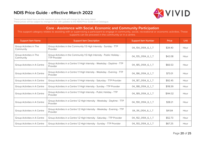

These prices listed here are the maximum prices Vivid will charge for the items listed. These prices will be subject to change in line with updates to the NDIS Price Guide and Catalogue.

#### **Core - Assistance with Social, Economic and Community Participation**

| <b>Support Item Name</b>             | <b>Support Item Description</b>                                                                | <b>Support Item Number</b> | Price    | <b>Unit</b> |
|--------------------------------------|------------------------------------------------------------------------------------------------|----------------------------|----------|-------------|
| Group Activities in The<br>Community | Group Activities in the Community 1:5 High Intensity - Sunday - TTP<br>Provider                | 04_154_0104_6_1_T          | \$34.40  | Hour        |
| Group Activities in The<br>Community | Group Activities in the Community 1:5 High Intensity - Public Holiday -<br><b>TTP Provider</b> | 04_155_0104_6_1_T          | \$42.08  | Hour        |
| Group Activities in A Centre         | Group Activities in a Centre 1:1 High Intensity - Weekday - Daytime - TTP<br>Provider          | 04_185_0104_6_1_T          | \$66.53  | Hour        |
| Group Activities in A Centre         | Group Activities in a Centre 1:1 High Intensity - Weekday - Evening - TTP<br>Provider          | 04_186_0104_6_1_T          | \$73.01  | Hour        |
| Group Activities in A Centre         | Group Activities in a Centre 1:1 High Intensity - Saturday - TTP Provider                      | 04_187_0104_6_1_T          | \$92.45  | Hour        |
| Group Activities in A Centre         | Group Activities in a Centre 1:1 High Intensity - Sunday - TTP Provider                        | 04_188_0104_6_1_T          | \$118.39 | Hour        |
| Group Activities in A Centre         | Group Activities in a Centre 1:1 High Intensity - Public Holiday - TTP<br>Provider             | 04_189_0104_6_1_T          | \$144.32 | Hour        |
| Group Activities in A Centre         | Group Activities in a Centre 1:2 High Intensity - Weekday - Daytime - TTP<br>Provider          | 04_190_0104_6_1_T          | \$38.21  | Hour        |
| Group Activities in A Centre         | Group Activities in a Centre 1:2 High Intensity - Weekday - Evening - TTP<br>Provider          | 04_191_0104_6_1_T          | \$41.84  | Hour        |
| Group Activities in A Centre         | Group Activities in a Centre 1:2 High Intensity - Saturday - TTP Provider                      | 04_192_0104_6_1_T          | \$52.73  | Hour        |
| Group Activities in A Centre         | Group Activities in a Centre 1:2 High Intensity - Sunday - TTP Provider                        | 04 193 0104 6 1 T          | \$67.25  | Hour        |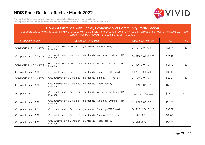

These prices listed here are the maximum prices Vivid will charge for the items listed. These prices will be subject to change in line with updates to the NDIS Price Guide and Catalogue.

#### **Core - Assistance with Social, Economic and Community Participation**

| <b>Support Item Name</b>     | <b>Support Item Description</b>                                                       | <b>Support Item Number</b> | Price   | <b>Unit</b> |
|------------------------------|---------------------------------------------------------------------------------------|----------------------------|---------|-------------|
| Group Activities in A Centre | Group Activities in a Centre 1:2 High Intensity - Public Holiday - TTP<br>Provider    | 04_194_0104_6_1_T          | \$81.77 | Hour        |
| Group Activities in A Centre | Group Activities in a Centre 1:3 High Intensity - Weekday - Daytime - TTP<br>Provider | 04_195_0104_6_1_T          | \$28.77 | Hour        |
| Group Activities in A Centre | Group Activities in a Centre 1:3 High Intensity - Weekday - Evening - TTP<br>Provider | 04_196_0104_6_1_T          | \$31.45 | Hour        |
| Group Activities in A Centre | Group Activities in a Centre 1:3 High Intensity - Saturday - TTP Provider             | 04_197_0104_6_1_T          | \$39.49 | Hour        |
| Group Activities in A Centre | Group Activities in a Centre 1:3 High Intensity - Sunday - TTP Provider               | 04_198_0104_6_1_T          | \$50.21 | Hour        |
| Group Activities in A Centre | Group Activities in a Centre 1:3 High Intensity - Public Holiday - TTP<br>Provider    | 04_199_0104_6_1_T          | \$60.93 | Hour        |
| Group Activities in A Centre | Group Activities in a Centre 1:4 High Intensity - Weekday - Daytime - TTP<br>Provider | 04_200_0104_6_1_T          | \$24.05 | Hour        |
| Group Activities in A Centre | Group Activities in a Centre 1:4 High Intensity - Weekday - Evening - TTP<br>Provider | 04_201_0104_6_1_T          | \$26.26 | Hour        |
| Group Activities in A Centre | Group Activities in a Centre 1:4 High Intensity - Saturday - TTP Provider             | 04_202_0104_6_1_T          | \$32.87 | Hour        |
| Group Activities in A Centre | Group Activities in a Centre 1:4 High Intensity - Sunday - TTP Provider               | 04_203_0104_6_1_T          | \$41.68 | Hour        |
| Group Activities in A Centre | Group Activities in a Centre 1:4 High Intensity - Public Holiday - TTP<br>Provider    | 04_204_0104_6_1_T          | \$50.50 | Hour        |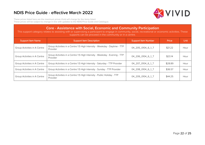

These prices listed here are the maximum prices Vivid will charge for the items listed. These prices will be subject to change in line with updates to the NDIS Price Guide and Catalogue.

#### **Core - Assistance with Social, Economic and Community Participation**

| <b>Support Item Name</b>     | <b>Support Item Description</b>                                                       | <b>Support Item Number</b> | <b>Price</b> | <b>Unit</b> |
|------------------------------|---------------------------------------------------------------------------------------|----------------------------|--------------|-------------|
| Group Activities in A Centre | Group Activities in a Centre 1:5 High Intensity - Weekday - Daytime - TTP<br>Provider | 04_205_0104_6_1_T          | \$21.22      | Hour        |
| Group Activities in A Centre | Group Activities in a Centre 1:5 High Intensity - Weekday - Evening - TTP<br>Provider | 04_206_0104_6_1_T          | \$23.14      | Hour        |
| Group Activities in A Centre | Group Activities in a Centre 1:5 High Intensity - Saturday - TTP Provider             | 04_207_0104_6_1_T          | \$28.89      | Hour        |
| Group Activities in A Centre | Group Activities in a Centre 1:5 High Intensity - Sunday - TTP Provider               | 04 208 0104 6 1 T          | \$36.57      | Hour        |
| Group Activities in A Centre | Group Activities in a Centre 1:5 High Intensity - Public Holiday - TTP<br>Provider    | 04_209_0104_6_1_T          | \$44.25      | Hour        |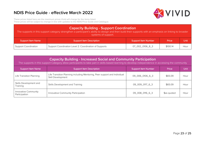

<span id="page-24-0"></span>These prices listed here are the maximum prices Vivid will charge for the items listed. These prices will be subject to change in line with updates to the NDIS Price Guide and Catalogue.

| <b>Capacity Building - Support Coordination</b><br>The supports in this support category strengthen a participant's ability to design and then build their supports with an emphasis on linking to broader<br>systems of support. |                                                        |                            |          |       |
|-----------------------------------------------------------------------------------------------------------------------------------------------------------------------------------------------------------------------------------|--------------------------------------------------------|----------------------------|----------|-------|
| <b>Support Item Name</b>                                                                                                                                                                                                          | <b>Support Item Description</b>                        | <b>Support Item Number</b> | Price    | Unit: |
| <b>Support Coordination</b>                                                                                                                                                                                                       | Support Coordination Level 2: Coordination of Supports | 07_002_0106_8_3            | \$100.14 | Hour  |

| <b>Capacity Building - Increased Social and Community Participation</b> |  |
|-------------------------------------------------------------------------|--|
|-------------------------------------------------------------------------|--|

The supports in this support Category allow participants to take part in skills-based learning to develop independence in accessing the community

| <b>Support Item Name</b>              | <b>Support Item Description</b>                                                                | <b>Support Item Number</b> | Price       | Unit |
|---------------------------------------|------------------------------------------------------------------------------------------------|----------------------------|-------------|------|
| Life Transition Planning              | Life Transition Planning including Mentoring, Peer support and Individual<br>Skill Development | 09_006_0106_6_3            | \$65.09     | Hour |
| Skills Development and<br>Training    | Skills Development and Training                                                                | 09_009_0117_6_3            | \$65.09     | Hour |
| Innovative Community<br>Participation | Innovative Community Participation                                                             | 09_008_0116_6_3            | \$as quoted | Hour |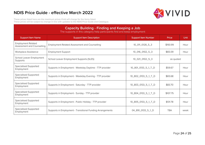

<span id="page-25-0"></span>These prices listed here are the maximum prices Vivid will charge for the items listed. These prices will be subject to change in line with updates to the NDIS Price Guide and Catalogue.

| <b>Capacity Building - Finding and Keeping a Job</b><br>The supports in this category help participants find and keep employment |                                                            |                            |            |      |  |
|----------------------------------------------------------------------------------------------------------------------------------|------------------------------------------------------------|----------------------------|------------|------|--|
| <b>Support Item Name</b>                                                                                                         | <b>Support Item Description</b>                            | <b>Support Item Number</b> | Price      | Unit |  |
| <b>Employment Related</b><br>Assessment and Counselling                                                                          | <b>Employment Related Assessment and Counselling</b>       | 10_011_0128_5_3            | \$193.99   | Hour |  |
| Workplace Assistance                                                                                                             | <b>Employment Support</b>                                  | 10_016_0102_5_3            | \$65.09    | Hour |  |
| School Leaver Employment<br>Supports                                                                                             | School Leaver Employment Supports (SLES)                   | 10_021_0102_5_3            | as quoted  |      |  |
| Specialised Supported<br>Employment                                                                                              | Supports in Employment - Weekday Daytime - TTP provider    | 10_801_0133_5_1_T_D        | \$59.67    | Hour |  |
| Specialised Supported<br>Employment                                                                                              | Supports in Employment - Weekday Evening - TTP provider    | 10_802_0133_5_1_T_D        | \$65.68    | Hour |  |
| <b>Specialised Supported</b><br>Employment                                                                                       | Supports in Employment - Saturday - TTP provider           | 10_803_0133_5_1_T_D        | \$83.70    | Hour |  |
| Specialised Supported<br>Employment                                                                                              | Supports in Employment - Sunday - TTP provider             | 10_804_0133_5_1_T_D        | \$107.75   | Hour |  |
| Specialised Supported<br>Employment                                                                                              | Supports in Employment - Public Holiday - TTP provider     | 10_805_0133_5_1_T_D        | \$131.78   | Hour |  |
| Specialised Supported<br>Employment                                                                                              | Supports in Employment - Transitional Funding Arrangements | 04 891 0133 5 1 D          | <b>TBA</b> | week |  |